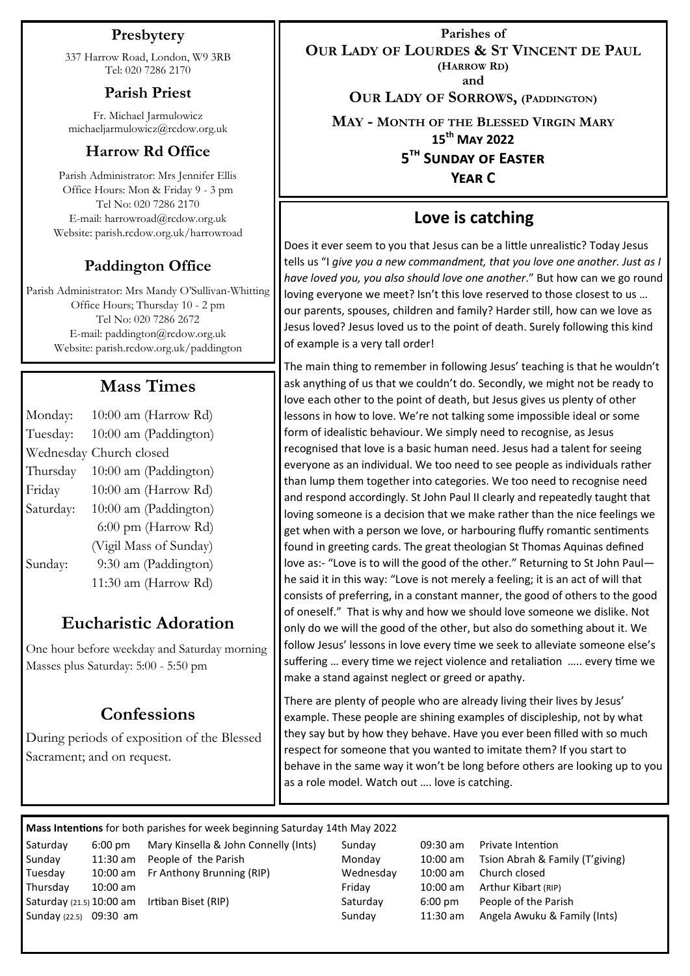#### **Presbytery**

337 Harrow Road, London, W9 3RB Tel: 020 7286 2170

#### **Parish Priest**

Fr. Michael Jarmulowicz michaeljarmulowicz@rcdow.org.uk

#### **Harrow Rd Office**

Parish Administrator: Mrs Jennifer Ellis Office Hours: Mon & Friday 9 - 3 pm Tel No: 020 7286 2170 E-mail: harrowroad@rcdow.org.uk Website: parish.rcdow.org.uk/harrowroad

# **Paddington Office**

Parish Administrator: Mrs Mandy O'Sullivan-Whitting Office Hours; Thursday 10 - 2 pm Tel No: 020 7286 2672 E-mail: paddington@rcdow.org.uk Website: parish.rcdow.org.uk/paddington

# **Mass Times**

| Monday:   | 10:00 am (Harrow Rd)   |
|-----------|------------------------|
| Tuesday:  | 10:00 am (Paddington)  |
| Wednesday | Church closed          |
| Thursday  | 10:00 am (Paddington)  |
| Friday    | 10:00 am (Harrow Rd)   |
| Saturday: | 10:00 am (Paddington)  |
|           | 6:00 pm (Harrow Rd)    |
|           | (Vigil Mass of Sunday) |
| Sunday:   | 9:30 am (Paddington)   |
|           | 11:30 am (Harrow Rd)   |

# **Eucharistic Adoration**

One hour before weekday and Saturday morning Masses plus Saturday: 5:00 - 5:50 pm

# **Confessions**

During periods of exposition of the Blessed Sacrament; and on request.

**Parishes of OUR LADY OF LOURDES & ST VINCENT DE PAUL (HARROW RD) and**

**OUR LADY OF SORROWS, (PADDINGTON)**

**MAY - MONTH OF THE BLESSED VIRGIN MARY**

**15th May 2022**

**5 th Sunday of Easter** 

**Year C**

## **Love is catching**

Does it ever seem to you that Jesus can be a little unrealistic? Today Jesus tells us "I *give you a new commandment, that you love one another. Just as I have loved you, you also should love one another*." But how can we go round loving everyone we meet? Isn't this love reserved to those closest to us … our parents, spouses, children and family? Harder still, how can we love as Jesus loved? Jesus loved us to the point of death. Surely following this kind of example is a very tall order!

The main thing to remember in following Jesus' teaching is that he wouldn't ask anything of us that we couldn't do. Secondly, we might not be ready to love each other to the point of death, but Jesus gives us plenty of other lessons in how to love. We're not talking some impossible ideal or some form of idealistic behaviour. We simply need to recognise, as Jesus recognised that love is a basic human need. Jesus had a talent for seeing everyone as an individual. We too need to see people as individuals rather than lump them together into categories. We too need to recognise need and respond accordingly. St John Paul II clearly and repeatedly taught that loving someone is a decision that we make rather than the nice feelings we get when with a person we love, or harbouring fluffy romantic sentiments found in greeting cards. The great theologian St Thomas Aquinas defined love as:- "Love is to will the good of the other." Returning to St John Paul he said it in this way: "Love is not merely a feeling; it is an act of will that consists of preferring, in a constant manner, the good of others to the good of oneself." That is why and how we should love someone we dislike. Not only do we will the good of the other, but also do something about it. We follow Jesus' lessons in love every time we seek to alleviate someone else's suffering … every time we reject violence and retaliation ….. every time we make a stand against neglect or greed or apathy.

There are plenty of people who are already living their lives by Jesus' example. These people are shining examples of discipleship, not by what they say but by how they behave. Have you ever been filled with so much respect for someone that you wanted to imitate them? If you start to behave in the same way it won't be long before others are looking up to you as a role model. Watch out …. love is catching.

**Mass Intentions** for both parishes for week beginning Saturday 14th May 2022

Saturday 6:00 pm Mary Kinsella & John Connelly (Ints) Sunday 09:30 am Private Intention Tuesday 10:00 am Fr Anthony Brunning (RIP) Wednesday 10:00 am Church closed Thursday 10:00 am Friday 10:00 am Arthur Kibart (RIP) Saturday (21.5) 10:00 am Irtiban Biset (RIP) Saturday 6:00 pm People of the Parish

Sunday 11:30 am People of the Parish Monday 10:00 am Tsion Abrah & Family (T'giving)<br>Tuesdav 10:00 am Fr Anthony Brunning (RIP) Wednesday 10:00 am Church closed Sunday (22.5) 09:30 am Sunday 11:30 am Angela Awuku & Family (Ints)